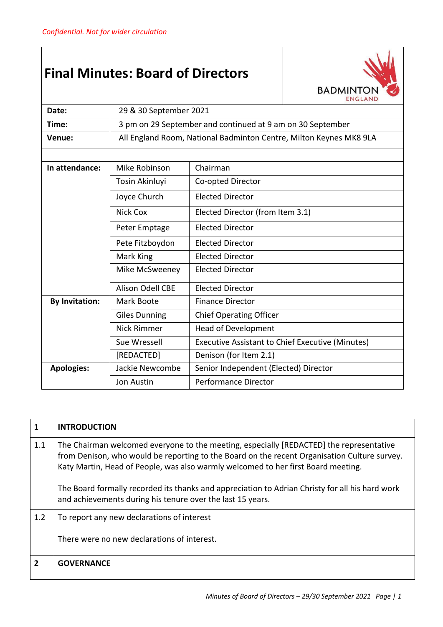## **Final Minutes: Board of Directors**



| Date:                 | 29 & 30 September 2021                                             |                                                  |  |  |
|-----------------------|--------------------------------------------------------------------|--------------------------------------------------|--|--|
| Time:                 | 3 pm on 29 September and continued at 9 am on 30 September         |                                                  |  |  |
| Venue:                | All England Room, National Badminton Centre, Milton Keynes MK8 9LA |                                                  |  |  |
|                       |                                                                    |                                                  |  |  |
| In attendance:        | Mike Robinson<br>Chairman                                          |                                                  |  |  |
|                       | Tosin Akinluyi                                                     | Co-opted Director                                |  |  |
|                       | Joyce Church                                                       | <b>Elected Director</b>                          |  |  |
|                       | Nick Cox                                                           | Elected Director (from Item 3.1)                 |  |  |
|                       | Peter Emptage                                                      | <b>Elected Director</b>                          |  |  |
|                       | Pete Fitzboydon                                                    | <b>Elected Director</b>                          |  |  |
|                       | Mark King                                                          | Elected Director                                 |  |  |
|                       | Mike McSweeney                                                     | <b>Elected Director</b>                          |  |  |
|                       | <b>Alison Odell CBE</b>                                            | <b>Elected Director</b>                          |  |  |
| <b>By Invitation:</b> | Mark Boote                                                         | <b>Finance Director</b>                          |  |  |
|                       | <b>Giles Dunning</b>                                               | <b>Chief Operating Officer</b>                   |  |  |
|                       | <b>Nick Rimmer</b>                                                 | <b>Head of Development</b>                       |  |  |
|                       | Sue Wressell                                                       | Executive Assistant to Chief Executive (Minutes) |  |  |
|                       | [REDACTED]                                                         | Denison (for Item 2.1)                           |  |  |
| <b>Apologies:</b>     | Jackie Newcombe                                                    | Senior Independent (Elected) Director            |  |  |
|                       | Jon Austin                                                         | <b>Performance Director</b>                      |  |  |

| 1              | <b>INTRODUCTION</b>                                                                                                                                                                                                                                                          |
|----------------|------------------------------------------------------------------------------------------------------------------------------------------------------------------------------------------------------------------------------------------------------------------------------|
| 1.1            | The Chairman welcomed everyone to the meeting, especially [REDACTED] the representative<br>from Denison, who would be reporting to the Board on the recent Organisation Culture survey.<br>Katy Martin, Head of People, was also warmly welcomed to her first Board meeting. |
|                | The Board formally recorded its thanks and appreciation to Adrian Christy for all his hard work<br>and achievements during his tenure over the last 15 years.                                                                                                                |
| 1.2            | To report any new declarations of interest                                                                                                                                                                                                                                   |
|                | There were no new declarations of interest.                                                                                                                                                                                                                                  |
| $\overline{2}$ | <b>GOVERNANCE</b>                                                                                                                                                                                                                                                            |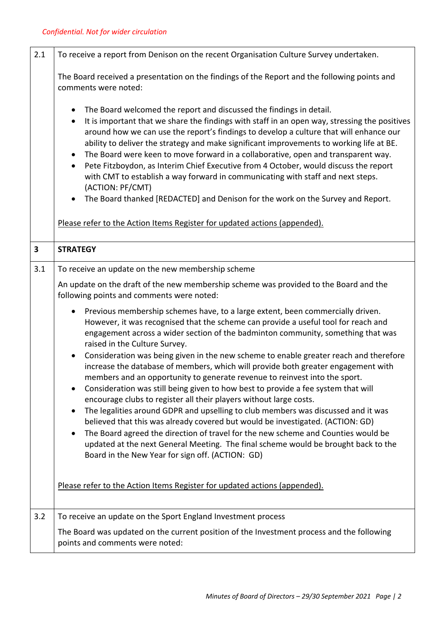| 2.1                     | To receive a report from Denison on the recent Organisation Culture Survey undertaken.                                                                                                                                                                                                                                                                                                                                                                                                                                                                                                                                                                                                                                                                                                                                                                                                                                                                                                                                                                                                                                                                                                                                                                       |  |
|-------------------------|--------------------------------------------------------------------------------------------------------------------------------------------------------------------------------------------------------------------------------------------------------------------------------------------------------------------------------------------------------------------------------------------------------------------------------------------------------------------------------------------------------------------------------------------------------------------------------------------------------------------------------------------------------------------------------------------------------------------------------------------------------------------------------------------------------------------------------------------------------------------------------------------------------------------------------------------------------------------------------------------------------------------------------------------------------------------------------------------------------------------------------------------------------------------------------------------------------------------------------------------------------------|--|
|                         | The Board received a presentation on the findings of the Report and the following points and<br>comments were noted:                                                                                                                                                                                                                                                                                                                                                                                                                                                                                                                                                                                                                                                                                                                                                                                                                                                                                                                                                                                                                                                                                                                                         |  |
|                         | The Board welcomed the report and discussed the findings in detail.<br>$\bullet$<br>It is important that we share the findings with staff in an open way, stressing the positives<br>$\bullet$<br>around how we can use the report's findings to develop a culture that will enhance our<br>ability to deliver the strategy and make significant improvements to working life at BE.<br>The Board were keen to move forward in a collaborative, open and transparent way.<br>$\bullet$<br>Pete Fitzboydon, as Interim Chief Executive from 4 October, would discuss the report<br>$\bullet$<br>with CMT to establish a way forward in communicating with staff and next steps.<br>(ACTION: PF/CMT)<br>The Board thanked [REDACTED] and Denison for the work on the Survey and Report.<br>$\bullet$<br>Please refer to the Action Items Register for updated actions (appended).                                                                                                                                                                                                                                                                                                                                                                              |  |
| $\overline{\mathbf{3}}$ | <b>STRATEGY</b>                                                                                                                                                                                                                                                                                                                                                                                                                                                                                                                                                                                                                                                                                                                                                                                                                                                                                                                                                                                                                                                                                                                                                                                                                                              |  |
| 3.1                     | To receive an update on the new membership scheme                                                                                                                                                                                                                                                                                                                                                                                                                                                                                                                                                                                                                                                                                                                                                                                                                                                                                                                                                                                                                                                                                                                                                                                                            |  |
|                         | An update on the draft of the new membership scheme was provided to the Board and the<br>following points and comments were noted:                                                                                                                                                                                                                                                                                                                                                                                                                                                                                                                                                                                                                                                                                                                                                                                                                                                                                                                                                                                                                                                                                                                           |  |
|                         | Previous membership schemes have, to a large extent, been commercially driven.<br>$\bullet$<br>However, it was recognised that the scheme can provide a useful tool for reach and<br>engagement across a wider section of the badminton community, something that was<br>raised in the Culture Survey.<br>Consideration was being given in the new scheme to enable greater reach and therefore<br>$\bullet$<br>increase the database of members, which will provide both greater engagement with<br>members and an opportunity to generate revenue to reinvest into the sport.<br>Consideration was still being given to how best to provide a fee system that will<br>٠<br>encourage clubs to register all their players without large costs.<br>The legalities around GDPR and upselling to club members was discussed and it was<br>$\bullet$<br>believed that this was already covered but would be investigated. (ACTION: GD)<br>The Board agreed the direction of travel for the new scheme and Counties would be<br>$\bullet$<br>updated at the next General Meeting. The final scheme would be brought back to the<br>Board in the New Year for sign off. (ACTION: GD)<br>Please refer to the Action Items Register for updated actions (appended). |  |
| 3.2                     | To receive an update on the Sport England Investment process                                                                                                                                                                                                                                                                                                                                                                                                                                                                                                                                                                                                                                                                                                                                                                                                                                                                                                                                                                                                                                                                                                                                                                                                 |  |
|                         | The Board was updated on the current position of the Investment process and the following<br>points and comments were noted:                                                                                                                                                                                                                                                                                                                                                                                                                                                                                                                                                                                                                                                                                                                                                                                                                                                                                                                                                                                                                                                                                                                                 |  |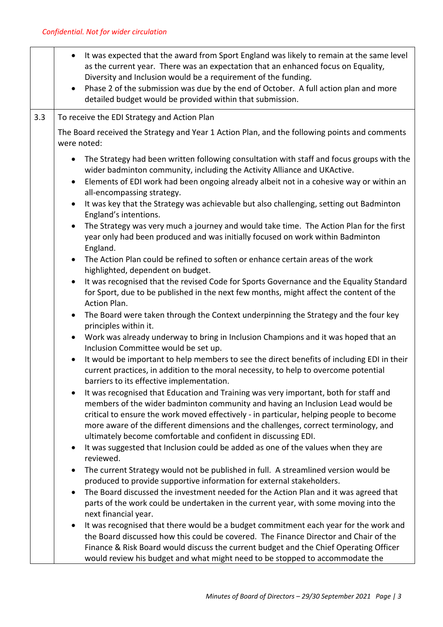|     | the Board discussed how this could be covered. The Finance Director and Chair of the<br>Finance & Risk Board would discuss the current budget and the Chief Operating Officer<br>would review his budget and what might need to be stopped to accommodate the                                                                                                                                                     |
|-----|-------------------------------------------------------------------------------------------------------------------------------------------------------------------------------------------------------------------------------------------------------------------------------------------------------------------------------------------------------------------------------------------------------------------|
|     | parts of the work could be undertaken in the current year, with some moving into the<br>next financial year.<br>It was recognised that there would be a budget commitment each year for the work and<br>$\bullet$                                                                                                                                                                                                 |
|     | produced to provide supportive information for external stakeholders.<br>The Board discussed the investment needed for the Action Plan and it was agreed that<br>$\bullet$                                                                                                                                                                                                                                        |
|     | reviewed.<br>The current Strategy would not be published in full. A streamlined version would be<br>$\bullet$                                                                                                                                                                                                                                                                                                     |
|     | ultimately become comfortable and confident in discussing EDI.<br>It was suggested that Inclusion could be added as one of the values when they are<br>٠                                                                                                                                                                                                                                                          |
|     | members of the wider badminton community and having an Inclusion Lead would be<br>critical to ensure the work moved effectively - in particular, helping people to become<br>more aware of the different dimensions and the challenges, correct terminology, and                                                                                                                                                  |
|     | barriers to its effective implementation.<br>It was recognised that Education and Training was very important, both for staff and                                                                                                                                                                                                                                                                                 |
|     | It would be important to help members to see the direct benefits of including EDI in their<br>$\bullet$<br>current practices, in addition to the moral necessity, to help to overcome potential                                                                                                                                                                                                                   |
|     | Work was already underway to bring in Inclusion Champions and it was hoped that an<br>$\bullet$<br>Inclusion Committee would be set up.                                                                                                                                                                                                                                                                           |
|     | The Board were taken through the Context underpinning the Strategy and the four key<br>$\bullet$<br>principles within it.                                                                                                                                                                                                                                                                                         |
|     | It was recognised that the revised Code for Sports Governance and the Equality Standard<br>$\bullet$<br>for Sport, due to be published in the next few months, might affect the content of the<br>Action Plan.                                                                                                                                                                                                    |
|     | The Action Plan could be refined to soften or enhance certain areas of the work<br>$\bullet$<br>highlighted, dependent on budget.                                                                                                                                                                                                                                                                                 |
|     | The Strategy was very much a journey and would take time. The Action Plan for the first<br>$\bullet$<br>year only had been produced and was initially focused on work within Badminton<br>England.                                                                                                                                                                                                                |
|     | all-encompassing strategy.<br>It was key that the Strategy was achievable but also challenging, setting out Badminton<br>$\bullet$<br>England's intentions.                                                                                                                                                                                                                                                       |
|     | The Strategy had been written following consultation with staff and focus groups with the<br>wider badminton community, including the Activity Alliance and UKActive.<br>Elements of EDI work had been ongoing already albeit not in a cohesive way or within an<br>$\bullet$                                                                                                                                     |
|     | The Board received the Strategy and Year 1 Action Plan, and the following points and comments<br>were noted:                                                                                                                                                                                                                                                                                                      |
| 3.3 | To receive the EDI Strategy and Action Plan                                                                                                                                                                                                                                                                                                                                                                       |
|     | It was expected that the award from Sport England was likely to remain at the same level<br>as the current year. There was an expectation that an enhanced focus on Equality,<br>Diversity and Inclusion would be a requirement of the funding.<br>Phase 2 of the submission was due by the end of October. A full action plan and more<br>$\bullet$<br>detailed budget would be provided within that submission. |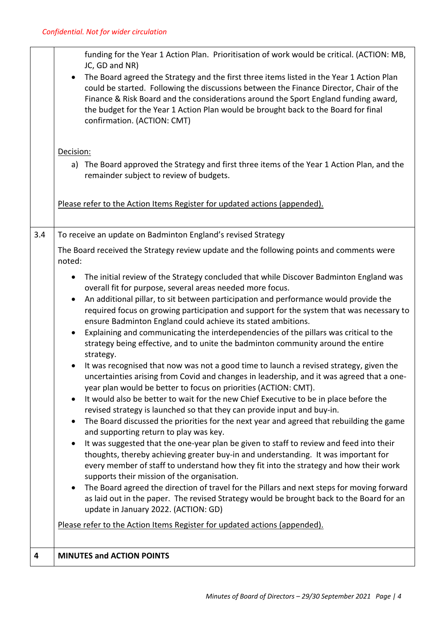|     | funding for the Year 1 Action Plan. Prioritisation of work would be critical. (ACTION: MB,<br>JC, GD and NR)<br>The Board agreed the Strategy and the first three items listed in the Year 1 Action Plan<br>$\bullet$<br>could be started. Following the discussions between the Finance Director, Chair of the<br>Finance & Risk Board and the considerations around the Sport England funding award,<br>the budget for the Year 1 Action Plan would be brought back to the Board for final<br>confirmation. (ACTION: CMT)<br>Decision:<br>a) The Board approved the Strategy and first three items of the Year 1 Action Plan, and the<br>remainder subject to review of budgets.                                                                                                                                                                                                                                                                                                                                                                                                                                                                                                                                                                                                                                                                                                                                                                                                                                                                                                                                                                                                                                                                                                                                                                                                                                                                                                                                                                        |
|-----|-----------------------------------------------------------------------------------------------------------------------------------------------------------------------------------------------------------------------------------------------------------------------------------------------------------------------------------------------------------------------------------------------------------------------------------------------------------------------------------------------------------------------------------------------------------------------------------------------------------------------------------------------------------------------------------------------------------------------------------------------------------------------------------------------------------------------------------------------------------------------------------------------------------------------------------------------------------------------------------------------------------------------------------------------------------------------------------------------------------------------------------------------------------------------------------------------------------------------------------------------------------------------------------------------------------------------------------------------------------------------------------------------------------------------------------------------------------------------------------------------------------------------------------------------------------------------------------------------------------------------------------------------------------------------------------------------------------------------------------------------------------------------------------------------------------------------------------------------------------------------------------------------------------------------------------------------------------------------------------------------------------------------------------------------------------|
|     | Please refer to the Action Items Register for updated actions (appended).                                                                                                                                                                                                                                                                                                                                                                                                                                                                                                                                                                                                                                                                                                                                                                                                                                                                                                                                                                                                                                                                                                                                                                                                                                                                                                                                                                                                                                                                                                                                                                                                                                                                                                                                                                                                                                                                                                                                                                                 |
| 3.4 | To receive an update on Badminton England's revised Strategy<br>The Board received the Strategy review update and the following points and comments were<br>noted:<br>The initial review of the Strategy concluded that while Discover Badminton England was<br>$\bullet$<br>overall fit for purpose, several areas needed more focus.<br>An additional pillar, to sit between participation and performance would provide the<br>$\bullet$<br>required focus on growing participation and support for the system that was necessary to<br>ensure Badminton England could achieve its stated ambitions.<br>Explaining and communicating the interdependencies of the pillars was critical to the<br>$\bullet$<br>strategy being effective, and to unite the badminton community around the entire<br>strategy.<br>It was recognised that now was not a good time to launch a revised strategy, given the<br>$\bullet$<br>uncertainties arising from Covid and changes in leadership, and it was agreed that a one-<br>year plan would be better to focus on priorities (ACTION: CMT).<br>It would also be better to wait for the new Chief Executive to be in place before the<br>revised strategy is launched so that they can provide input and buy-in.<br>The Board discussed the priorities for the next year and agreed that rebuilding the game<br>٠<br>and supporting return to play was key.<br>It was suggested that the one-year plan be given to staff to review and feed into their<br>$\bullet$<br>thoughts, thereby achieving greater buy-in and understanding. It was important for<br>every member of staff to understand how they fit into the strategy and how their work<br>supports their mission of the organisation.<br>The Board agreed the direction of travel for the Pillars and next steps for moving forward<br>as laid out in the paper. The revised Strategy would be brought back to the Board for an<br>update in January 2022. (ACTION: GD)<br>Please refer to the Action Items Register for updated actions (appended). |
| 4   | <b>MINUTES and ACTION POINTS</b>                                                                                                                                                                                                                                                                                                                                                                                                                                                                                                                                                                                                                                                                                                                                                                                                                                                                                                                                                                                                                                                                                                                                                                                                                                                                                                                                                                                                                                                                                                                                                                                                                                                                                                                                                                                                                                                                                                                                                                                                                          |